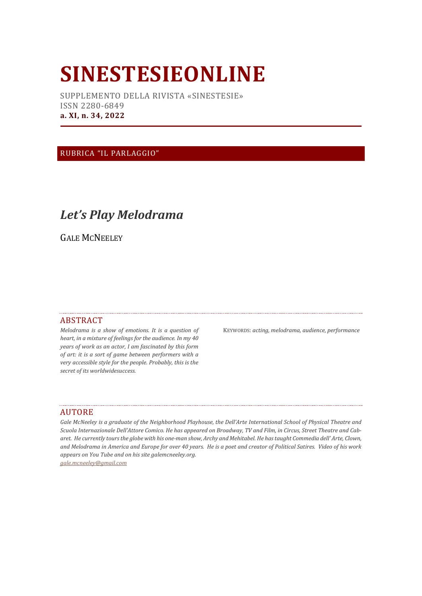# **SINESTESIEONLINE**

SUPPLEMENTO DELLA RIVISTA «SINESTESIE» ISSN 2280-6849 **a. XI, n. 34, 2022**

## RUBRICA "IL PARLAGGIO"

## *Let's Play Melodrama*

GALE MCNEELEY

#### ABSTRACT

*Melodrama is a show of emotions. It is a question of heart, in a mixture of feelings for the audience. In my 40 years of work as an actor, I am fascinated by this form of art: it is a sort of game between performers with a very accessible style for the people. Probably, this is the secret of its worldwidesuccess.*

KEYWORDS: *acting, melodrama, audience, performance*

### AUTORE

*Gale McNeeley is a graduate of the Neighborhood Playhouse, the Dell'Arte International School of Physical Theatre and Scuola Internazionale Dell'Attore Comico. He has appeared on Broadway, TV and Film, in Circus, Street Theatre and Cabaret. He currently tours the globe with his one-man show, Archy and Mehitabel. He has taught Commedia dell' Arte, Clown, and Melodrama in America and Europe for over 40 years. He is a poet and creator of Political Satires. Video of his work appears on You Tube and on his site galemcneeley.org. gale.mcneeley@gmail.com*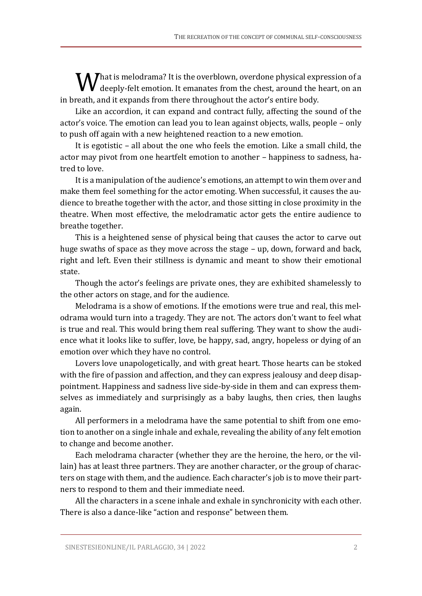$\mathbf W$ hat is melodrama? It is the overblown, overdone physical expression of a deeply-felt emotion. It emanates from the chest, around the heart, on an deeply-felt emotion. It emanates from the chest, around the heart, on an in breath, and it expands from there throughout the actor's entire body.

Like an accordion, it can expand and contract fully, affecting the sound of the actor's voice. The emotion can lead you to lean against objects, walls, people – only to push off again with a new heightened reaction to a new emotion.

It is egotistic – all about the one who feels the emotion. Like a small child, the actor may pivot from one heartfelt emotion to another – happiness to sadness, hatred to love.

It is a manipulation of the audience's emotions, an attempt to win them over and make them feel something for the actor emoting. When successful, it causes the audience to breathe together with the actor, and those sitting in close proximity in the theatre. When most effective, the melodramatic actor gets the entire audience to breathe together.

This is a heightened sense of physical being that causes the actor to carve out huge swaths of space as they move across the stage – up, down, forward and back, right and left. Even their stillness is dynamic and meant to show their emotional state.

Though the actor's feelings are private ones, they are exhibited shamelessly to the other actors on stage, and for the audience.

Melodrama is a show of emotions. If the emotions were true and real, this melodrama would turn into a tragedy. They are not. The actors don't want to feel what is true and real. This would bring them real suffering. They want to show the audience what it looks like to suffer, love, be happy, sad, angry, hopeless or dying of an emotion over which they have no control.

Lovers love unapologetically, and with great heart. Those hearts can be stoked with the fire of passion and affection, and they can express jealousy and deep disappointment. Happiness and sadness live side-by-side in them and can express themselves as immediately and surprisingly as a baby laughs, then cries, then laughs again.

All performers in a melodrama have the same potential to shift from one emotion to another on a single inhale and exhale, revealing the ability of any felt emotion to change and become another.

Each melodrama character (whether they are the heroine, the hero, or the villain) has at least three partners. They are another character, or the group of characters on stage with them, and the audience. Each character's job is to move their partners to respond to them and their immediate need.

All the characters in a scene inhale and exhale in synchronicity with each other. There is also a dance-like "action and response" between them.